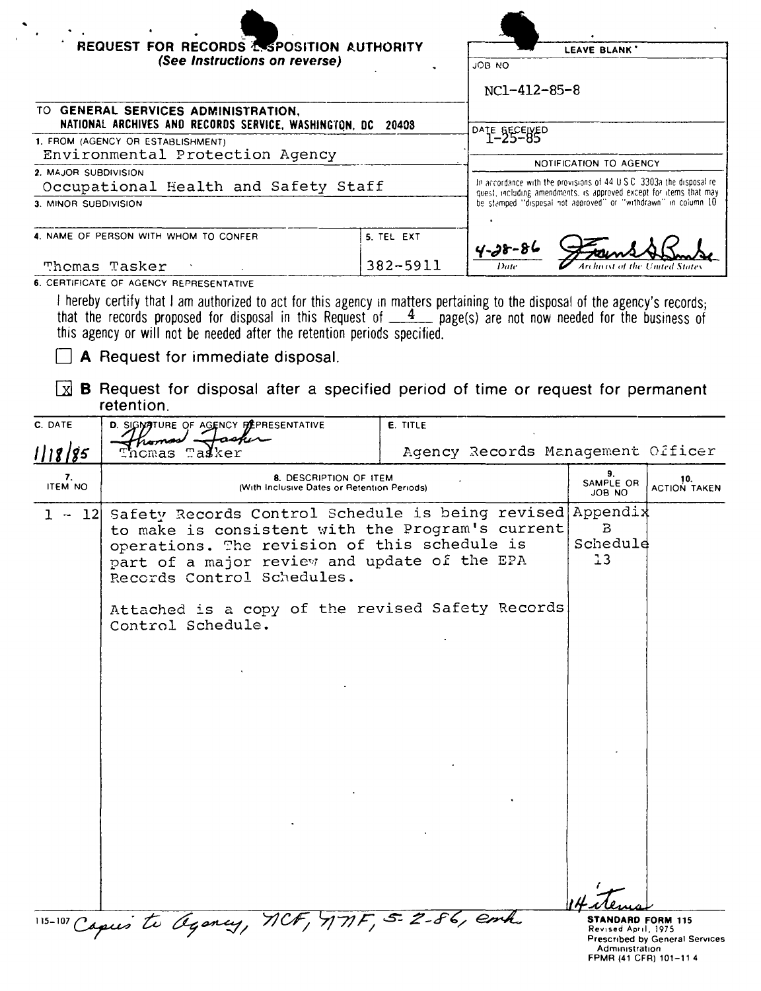|                                                                      | REQUEST FOR RECORDS & SPOSITION AUTHORITY<br>(See Instructions on reverse)                                                                                                                                                                  |                        | JOB NO<br>NC1-412-85-8                                                                                                                | LEAVE BLANK'        |                     |
|----------------------------------------------------------------------|---------------------------------------------------------------------------------------------------------------------------------------------------------------------------------------------------------------------------------------------|------------------------|---------------------------------------------------------------------------------------------------------------------------------------|---------------------|---------------------|
|                                                                      | TO GENERAL SERVICES ADMINISTRATION,                                                                                                                                                                                                         |                        |                                                                                                                                       |                     |                     |
|                                                                      | NATIONAL ARCHIVES AND RECORDS SERVICE, WASHINGTON, DC 20408                                                                                                                                                                                 |                        | DATE_BECEWED                                                                                                                          |                     |                     |
| 1. FROM (AGENCY OR ESTABLISHMENT)<br>Environmental Protection Agency |                                                                                                                                                                                                                                             | NOTIFICATION TO AGENCY |                                                                                                                                       |                     |                     |
| 2. MAJOR SUBDIVISION                                                 | Occupational Health and Safety Staff                                                                                                                                                                                                        |                        | In accordance with the provisions of 44 U.S.C. 3303a the disposal re-                                                                 |                     |                     |
| 3. MINOR SUBDIVISION                                                 |                                                                                                                                                                                                                                             |                        | quest, including amendments, is approved except for items that may<br>be stamped "disposal not approved" or "withdrawn" in column 10. |                     |                     |
|                                                                      | 4. NAME OF PERSON WITH WHOM TO CONFER                                                                                                                                                                                                       | 5. TEL EXT             | $4 - 38 - 86$                                                                                                                         |                     |                     |
|                                                                      | Thomas Tasker                                                                                                                                                                                                                               | 382-5911               | Date                                                                                                                                  |                     |                     |
| l xi<br>C. DATE                                                      | <b>B</b> Request for disposal after a specified period of time or request for permanent<br>retention.<br>D. SIGNATURE OF AGENCY PEPRESENTATIVE                                                                                              | <b>E. TITLE</b>        |                                                                                                                                       |                     |                     |
| 1118/85                                                              | Tasker<br>Tnomas                                                                                                                                                                                                                            |                        | Agency Records Management Officer                                                                                                     |                     |                     |
| 7.<br><b>ITEM NO</b>                                                 | 8. DESCRIPTION OF ITEM<br>(With Inclusive Dates or Retention Periods)                                                                                                                                                                       |                        |                                                                                                                                       | SAMPLE OR<br>JOB NO | 10.<br>ACTION TAKEN |
| $1 -$<br> 12                                                         | Safety Records Control Schedule is being revised Appendix<br>to make is consistent with the Program's current<br>operations. The revision of this schedule is<br>part of a major review and update of the EPA<br>Records Control Schedules. |                        |                                                                                                                                       | B<br>Schedule<br>13 |                     |
|                                                                      |                                                                                                                                                                                                                                             |                        |                                                                                                                                       |                     |                     |
|                                                                      | Attached is a copy of the revised Safety Records<br>Control Schedule.                                                                                                                                                                       |                        |                                                                                                                                       |                     |                     |
|                                                                      |                                                                                                                                                                                                                                             |                        |                                                                                                                                       |                     |                     |
|                                                                      |                                                                                                                                                                                                                                             |                        |                                                                                                                                       |                     |                     |
|                                                                      |                                                                                                                                                                                                                                             |                        |                                                                                                                                       |                     |                     |
|                                                                      |                                                                                                                                                                                                                                             |                        |                                                                                                                                       |                     |                     |
|                                                                      |                                                                                                                                                                                                                                             |                        |                                                                                                                                       |                     |                     |
|                                                                      |                                                                                                                                                                                                                                             |                        |                                                                                                                                       |                     |                     |
|                                                                      |                                                                                                                                                                                                                                             |                        |                                                                                                                                       |                     |                     |
|                                                                      |                                                                                                                                                                                                                                             |                        |                                                                                                                                       |                     |                     |
|                                                                      |                                                                                                                                                                                                                                             |                        |                                                                                                                                       |                     |                     |
|                                                                      |                                                                                                                                                                                                                                             |                        |                                                                                                                                       |                     |                     |

 $\bar{1}$ 

**STANDARD FORM 115**<br>Revised April, 1975<br>Prescribed by General Services<br>Administration<br>FPMR (41 CFR) 101-11 4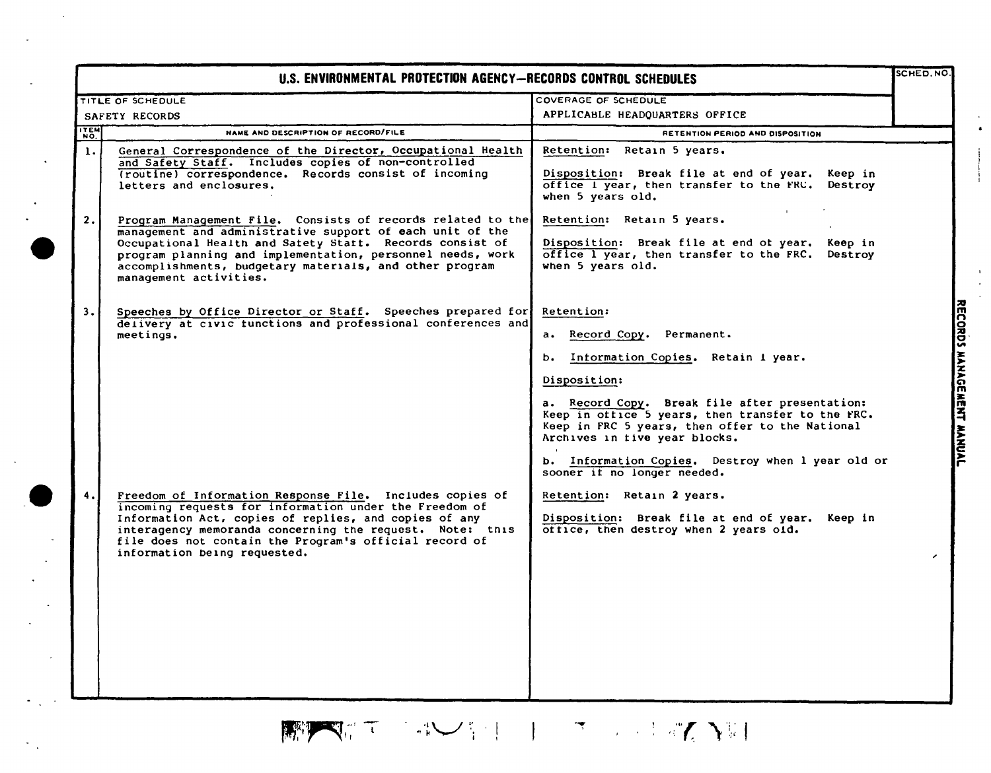|                | TITLE OF SCHEDULE                                                                                                                                                                                                                                                                                                                       | <b>COVERAGE OF SCHEDULE</b>                                                                                                                                                                                                                                                                     |  |
|----------------|-----------------------------------------------------------------------------------------------------------------------------------------------------------------------------------------------------------------------------------------------------------------------------------------------------------------------------------------|-------------------------------------------------------------------------------------------------------------------------------------------------------------------------------------------------------------------------------------------------------------------------------------------------|--|
|                | SAFETY RECORDS                                                                                                                                                                                                                                                                                                                          | APPLICABLE HEADQUARTERS OFFICE                                                                                                                                                                                                                                                                  |  |
| <b>ITEM</b>    | NAME AND DESCRIPTION OF RECORD/FILE                                                                                                                                                                                                                                                                                                     | RETENTION PERIOD AND DISPOSITION                                                                                                                                                                                                                                                                |  |
| $\mathbf{1}$ . | General Correspondence of the Director, Occupational Health<br>and Safety Staff. Includes copies of non-controlled<br>(routine) correspondence. Records consist of incoming<br>letters and enclosures.                                                                                                                                  | Retention: Retain 5 years.<br>Disposition: Break file at end of year. Keep in<br>office I year, then transfer to the FRC. Destroy<br>when 5 years old.                                                                                                                                          |  |
| 2.             | Program Management File. Consists of records related to the<br>management and administrative support of each unit of the<br>Occupational Health and Satety Statt. Records consist of<br>program planning and implementation, personnel needs, work<br>accomplishments, budgetary materials, and other program<br>management activities. | Retention: Retain 5 years.<br>Disposition: Break file at end ot year. Keep in<br>office 1 year, then transfer to the FRC.<br>Destroy<br>when 5 years old.                                                                                                                                       |  |
| 3.             | Speeches by Office Director or Staff. Speeches prepared for<br>delivery at civic tunctions and professional conferences and<br>meetings.                                                                                                                                                                                                | Retention:<br>a. Record Copy. Permanent.<br>Information Copies. Retain 1 year.<br>b.<br>Disposition:<br>a. Record Copy. Break file after presentation:<br>Keep in office 5 years, then transfer to the FRC.                                                                                     |  |
|                | Freedom of Information Response File. Includes copies of<br>incoming requests for information under the Freedom of<br>Information Act, copies of replies, and copies of any<br>interagency memoranda concerning the request. Note: this<br>file does not contain the Program's official record of<br>information being requested.       | Keep in FRC 5 years, then offer to the National<br>Archives in tive year blocks.<br>b. Information Copies. Destroy when 1 year old or<br>sooner it no longer needed.<br>Retention: Retain 2 years.<br>Disposition: Break file at end of year. Keep in<br>office, then destroy when 2 years old. |  |
|                |                                                                                                                                                                                                                                                                                                                                         |                                                                                                                                                                                                                                                                                                 |  |

 $\sim$ 

 $\sim 10^7$ 

## $\mathbb{E} \left[ \left\| \mathbf{v}_i \right\| \mathbf{v}_i \right] = \left\| \mathbf{v}_i \right\| \leq \left\| \mathbf{v}_i \right\| \leq \left\| \mathbf{v}_i \right\| \leq \left\| \mathbf{v}_i \right\| \leq \left\| \mathbf{v}_i \right\| \leq \left\| \mathbf{v}_i \right\| \leq \left\| \mathbf{v}_i \right\| \leq \left\| \mathbf{v}_i \right\| \leq \left\| \mathbf{v}_i \right\| \leq \left\| \mathbf{v}_i \right\| \leq \left\| \math$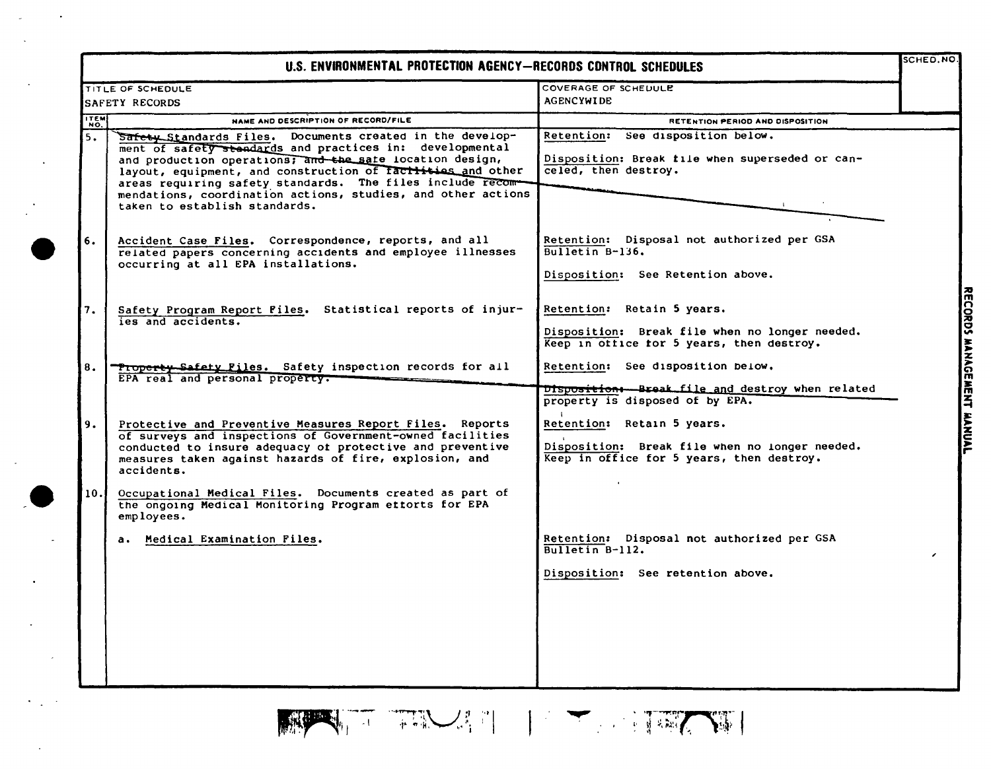| U.S. ENVIRONMENTAL PROTECTION AGENCY-RECORDS CONTROL SCHEDULES |                                                                                                                                                                                                                                                                                                                                                                                                                |                                                                                                                           |  |  |
|----------------------------------------------------------------|----------------------------------------------------------------------------------------------------------------------------------------------------------------------------------------------------------------------------------------------------------------------------------------------------------------------------------------------------------------------------------------------------------------|---------------------------------------------------------------------------------------------------------------------------|--|--|
|                                                                | TITLE OF SCHEDULE<br>SAFETY RECORDS                                                                                                                                                                                                                                                                                                                                                                            | COVERAGE OF SCHEDULE<br><b>AGENCYWIDE</b>                                                                                 |  |  |
|                                                                |                                                                                                                                                                                                                                                                                                                                                                                                                |                                                                                                                           |  |  |
| <b>ITEM</b>                                                    | NAME AND DESCRIPTION OF RECORD/FILE                                                                                                                                                                                                                                                                                                                                                                            | RETENTION PERIOD AND DISPOSITION<br>Retention: See disposition below.                                                     |  |  |
| 5.                                                             | Safety Standards Files. Documents created in the develop-<br>ment of safety standards and practices in: developmental<br>and production operations; and the safe location design,<br>layout, equipment, and construction of factivies and other<br>areas requiring safety standards. The files include recom-<br>mendations, coordination actions, studies, and other actions<br>taken to establish standards. | Disposition: Break file when superseded or can-<br>celed, then destroy.                                                   |  |  |
| 6.                                                             | Accident Case Files. Correspondence, reports, and all<br>related papers concerning accidents and employee illnesses<br>occurring at all EPA installations.                                                                                                                                                                                                                                                     | Retention: Disposal not authorized per GSA<br>$\overline{Bulletin B-136}$ .<br>Disposition: See Retention above.          |  |  |
| 7.                                                             | Safety Program Report Files. Statistical reports of injur-<br>ies and accidents.                                                                                                                                                                                                                                                                                                                               | Retention: Retain 5 years.<br>Disposition: Break file when no longer needed.<br>Keep in ottice for 5 years, then destroy. |  |  |
| 8.                                                             | <b>Troperty Safety Files.</b> Safety inspection records for all<br>EPA real and personal property.                                                                                                                                                                                                                                                                                                             | Retention: See disposition below.<br>Dispositions-Break file and destroy when related                                     |  |  |
|                                                                |                                                                                                                                                                                                                                                                                                                                                                                                                | property is disposed of by EPA.                                                                                           |  |  |
| 9.                                                             | Protective and Preventive Measures Report Files. Reports<br>of surveys and inspections of Government-owned facilities<br>conducted to insure adequacy of protective and preventive<br>measures taken against hazards of fire, explosion, and<br>accidents.                                                                                                                                                     | Retention: Retain 5 years.<br>Disposition: Break file when no longer needed.<br>Keep in office for 5 years, then destroy. |  |  |
| 10.1                                                           | Occupational Medical Files. Documents created as part of<br>the ongoing Medical Monitoring Program ettorts for EPA<br>employees.                                                                                                                                                                                                                                                                               |                                                                                                                           |  |  |
|                                                                | a. Medical Examination Files.                                                                                                                                                                                                                                                                                                                                                                                  | Retention: Disposal not authorized per GSA<br>Bulletin B-112.                                                             |  |  |
|                                                                |                                                                                                                                                                                                                                                                                                                                                                                                                | Disposition: See retention above.                                                                                         |  |  |

 $\sim 10^{11}$  km  $^{-1}$ 

 $\sim$  $\sim 10^7$ 

 $\mathcal{A}$ 

 $\mathcal{F}^{\mathcal{G}}_{\mathcal{G}}$  and  $\mathcal{F}^{\mathcal{G}}_{\mathcal{G}}$ 



**ECORDS** ANAGEMENT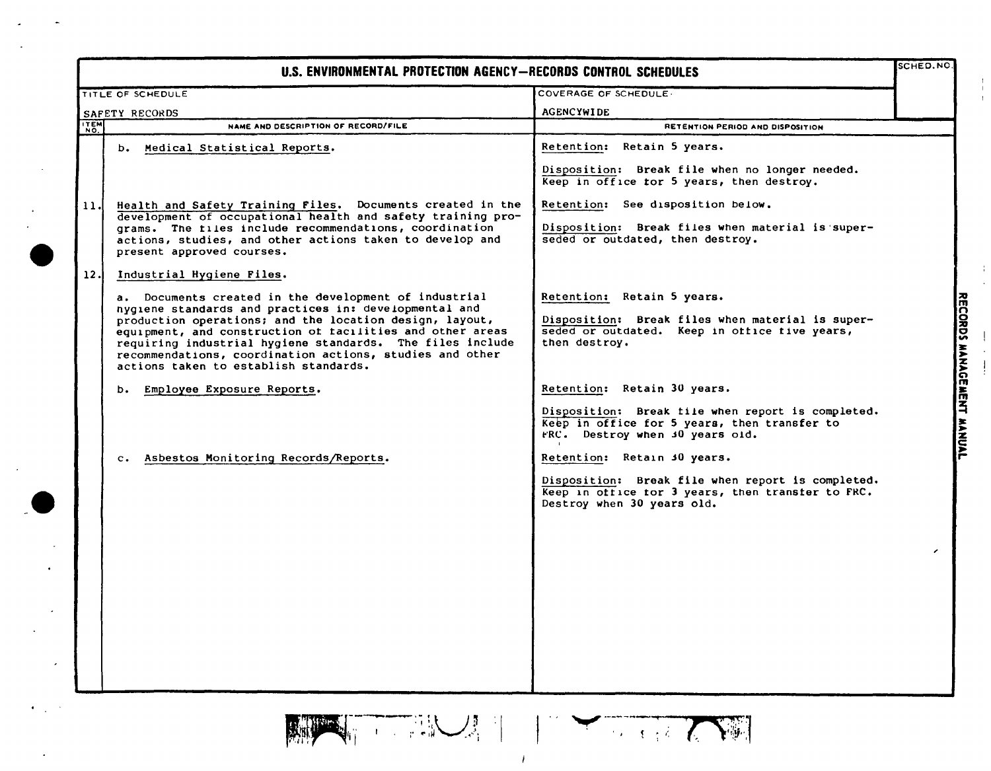| U.S. ENVIRONMENTAL PROTECTION AGENCY-RECORDS CONTROL SCHEDULES |                                                                                                                                                                                                                                                                                                                                                                                                                                       |                                                                                                                                                                        |                            |
|----------------------------------------------------------------|---------------------------------------------------------------------------------------------------------------------------------------------------------------------------------------------------------------------------------------------------------------------------------------------------------------------------------------------------------------------------------------------------------------------------------------|------------------------------------------------------------------------------------------------------------------------------------------------------------------------|----------------------------|
|                                                                | TITLE OF SCHEDULE                                                                                                                                                                                                                                                                                                                                                                                                                     | COVERAGE OF SCHEDULE                                                                                                                                                   |                            |
|                                                                | SAFETY RECORDS                                                                                                                                                                                                                                                                                                                                                                                                                        | <b>AGENCYWIDE</b>                                                                                                                                                      |                            |
| <b>TEM</b>                                                     | NAME AND DESCRIPTION OF RECORD/FILE                                                                                                                                                                                                                                                                                                                                                                                                   | RETENTION PERIOD AND DISPOSITION                                                                                                                                       |                            |
|                                                                | b. Medical Statistical Reports.                                                                                                                                                                                                                                                                                                                                                                                                       | Retention: Retain 5 years.<br>Disposition: Break file when no longer needed.                                                                                           |                            |
| 11.l                                                           | Health and Safety Training Files. Documents created in the<br>development of occupational health and safety training pro-<br>grams. The files include recommendations, coordination<br>actions, studies, and other actions taken to develop and<br>present approved courses.                                                                                                                                                          | Keep in office tor 5 years, then destroy.<br>Retention: See disposition below.<br>Disposition: Break files when material is super-<br>seded or outdated, then destroy. |                            |
| 12.                                                            | Industrial Hygiene Files.<br>a. Documents created in the development of industrial<br>hygiene standards and practices in: developmental and<br>production operations; and the location design, layout,<br>equipment, and construction of facilities and other areas<br>requiring industrial hygiene standards. The files include<br>recommendations, coordination actions, studies and other<br>actions taken to establish standards. | Retention: Retain 5 years.<br>Disposition: Break files when material is super-<br>seded or outdated. Keep in office five years,<br>then destroy.                       | <b>MANAU</b>               |
|                                                                | b. Employee Exposure Reports.                                                                                                                                                                                                                                                                                                                                                                                                         | Retention: Retain 30 years.<br>Disposition: Break file when report is completed.<br>Keep in office for 5 years, then transfer to<br>FRC. Destroy when 30 years old.    | <b>WENT</b><br><b>HUAL</b> |
|                                                                | c. Asbestos Monitoring Records/Reports.                                                                                                                                                                                                                                                                                                                                                                                               | Retention: Retain 30 years.<br>Disposition: Break file when report is completed.<br>Keep in office for 3 years, then transfer to FRC.<br>Destroy when 30 years old.    | ╭                          |